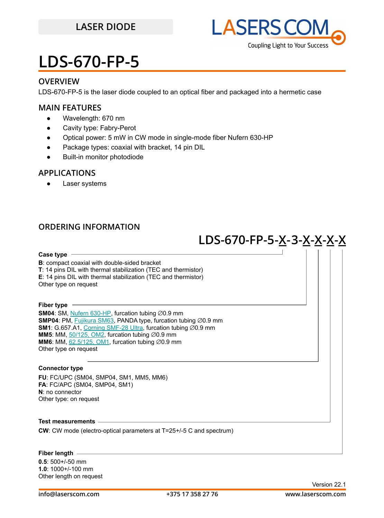

### **OVERVIEW**

LDS-670-FP-5 is the laser diode coupled to an optical fiber and packaged into a hermetic case

### **MAIN FEATURES**

- Wavelength: 670 nm
- Cavity type: Fabry-Perot
- Optical power: 5 mW in CW mode in single-mode fiber Nufern 630-HP
- Package types: coaxial with bracket, 14 pin DIL
- **Built-in monitor photodiode**

### **APPLICATIONS**

● Laser systems

### **ORDERING INFORMATION**

## **LDS-670-FP-5 -X-3-X-X-X-X**

**Case type**

**B**: compact coaxial with double-sided bracket **T**: 14 pins DIL with thermal stabilization (TEC and thermistor) **E**: 14 pins DIL with thermal stabilization (TEC and thermistor) Other type on request

#### **Fiber type**

**SM04**: SM, [Nufern 630-HP,](https://drive.google.com/file/d/12j5dGqxbssZEcfLVHgwBzsAFk-iMW5Xv/view?usp=sharing) furcation tubing ∅0.9 mm **SMP04**: PM, [Fujikura SM63,](https://drive.google.com/file/d/1dCMTXQjFu8DDh8mAv9fO-URwBNrg9t2w/view?usp=sharing) PANDA type, furcation tubing ∅0.9 mm **SM1**: G.657.A1, [Corning SMF-28 Ultra,](https://drive.google.com/file/d/1JeMdVLHUIGFdzKdBnzaeOmjsa81S284f/view?usp=sharing) furcation tubing ∅0.9 mm **MM5**: MM,  $\frac{50}{125}$ , OM2, furcation tubing  $\varnothing$ 0.9 mm **MM6**: MM,  $62.5/125$ , OM1, furcation tubing  $\varnothing$ 0.9 mm Other type on request

### **Connector type**

**FU**: FC/UPC (SM04, SMP04, SM1, MM5, MM6) **FA**: FC/APC (SM04, SMP04, SM1) **N**: no connector Other type: on request

### **Test measurements**

**CW**: CW mode (electro-optical parameters at T=25+/-5 C and spectrum)

### **Fiber length**

**0.5**: 500+/-50 mm **1.0**: 1000+/-100 mm Other length on request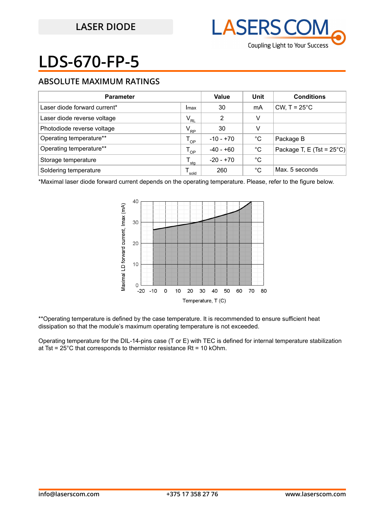

### **ABSOLUTE MAXIMUM RATINGS**

| <b>Parameter</b>             |                            | Value       | Unit | <b>Conditions</b>                   |
|------------------------------|----------------------------|-------------|------|-------------------------------------|
| Laser diode forward current* | Imax                       | 30          | mA   | CW, $T = 25^{\circ}$ C              |
| Laser diode reverse voltage  | $\mathsf{V}_{\mathsf{RL}}$ | 2           | v    |                                     |
| Photodiode reverse voltage   | $V_{\rm RP}$               | 30          | v    |                                     |
| Operating temperature**      | $T_{OP}$                   | $-10 - +70$ | °C   | Package B                           |
| Operating temperature**      | $T_{OP}$                   | $-40 - +60$ | °C   | Package T, E (Tst = $25^{\circ}$ C) |
| Storage temperature          | sta                        | $-20 - +70$ | °C   |                                     |
| Soldering temperature        | sold                       | 260         | °C   | Max. 5 seconds                      |

\*Maximal laser diode forward current depends on the operating temperature. Please, refer to the figure below.



\*\*Operating temperature is defined by the case temperature. It is recommended to ensure sufficient heat dissipation so that the module's maximum operating temperature is not exceeded.

Operating temperature for the DIL-14-pins case (T or E) with TEC is defined for internal temperature stabilization at Tst =  $25^{\circ}$ C that corresponds to thermistor resistance Rt = 10 kOhm.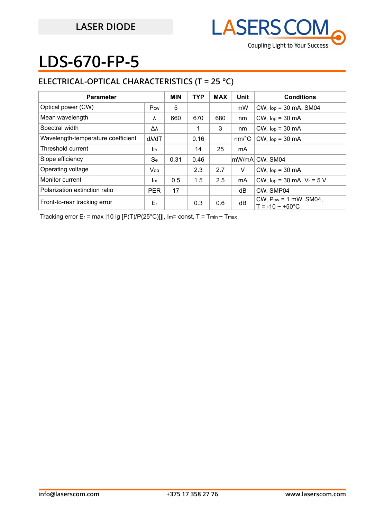

## **ELECTRICAL-OPTICAL CHARACTERISTICS (T = 25 °C)**

| <b>Parameter</b>                   |               | <b>MIN</b> | <b>TYP</b> | <b>MAX</b> | Unit                  | <b>Conditions</b>                                             |
|------------------------------------|---------------|------------|------------|------------|-----------------------|---------------------------------------------------------------|
| Optical power (CW)                 | Pcw           | 5          |            |            | mW                    | $CW$ , $lop = 30$ mA, SM04                                    |
| Mean wavelength                    | λ             | 660        | 670        | 680        | nm                    | $CW$ , $lop = 30$ mA                                          |
| Spectral width                     | Δλ            |            |            | 3          | nm                    | $CW$ , $lop = 30$ mA                                          |
| Wavelength-temperature coefficient | $d\lambda/dT$ |            | 0.16       |            | $nm$ <sup>o</sup> $C$ | $CW$ , $lop = 30$ mA                                          |
| Threshold current                  | Ith           |            | 14         | 25         | mA                    |                                                               |
| Slope efficiency                   | <b>Se</b>     | 0.31       | 0.46       |            |                       | lmW/mAl CW. SM04                                              |
| Operating voltage                  | Vop           |            | 2.3        | 2.7        | V                     | $CW$ , $lop = 30$ mA                                          |
| Monitor current                    | Im            | 0.5        | 1.5        | 2.5        | mA                    | CW, $lop = 30$ mA, $V_r = 5$ V                                |
| Polarization extinction ratio      | <b>PER</b>    | 17         |            |            | dB                    | CW. SMP04                                                     |
| Front-to-rear tracking error       | Er            |            | 0.3        | 0.6        | dB                    | CW, $P_{cw} = 1$ mW, SM04,<br>$T = -10 \approx +50^{\circ}$ C |

Tracking error Er = max | 10 lg [P(T)/P(25°C)]]|, Im= const, T = Tmin ~ Tmax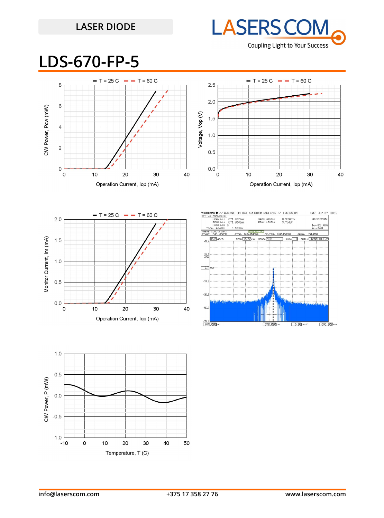## **LASER DIODE**



## **LDS-670-FP-5**





20

Operation Current, lop (mA)

30

40

 $-56.$ 

 $-76.3$   $-76.3$   $-$ 

670.000m

 $5.00 \text{ nm}$ 

695.000mm

 $0.0$ 

0

 $10$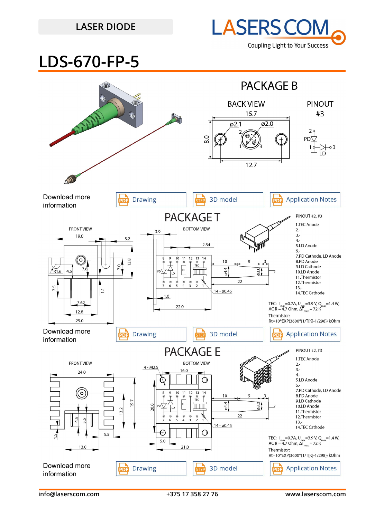## **LASER DIODE**



**LDS-670-FP-5**